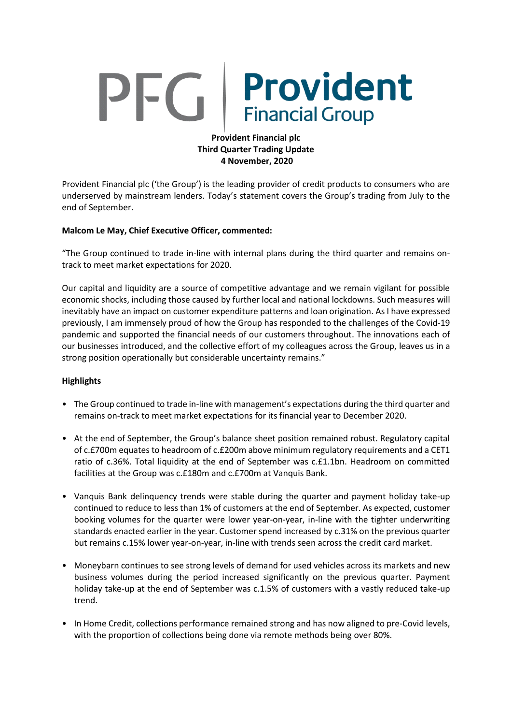# **Provident** PFG.

# **Provident Financial plc Third Quarter Trading Update 4 November, 2020**

Provident Financial plc ('the Group') is the leading provider of credit products to consumers who are underserved by mainstream lenders. Today's statement covers the Group's trading from July to the end of September.

## **Malcom Le May, Chief Executive Officer, commented:**

"The Group continued to trade in-line with internal plans during the third quarter and remains ontrack to meet market expectations for 2020.

Our capital and liquidity are a source of competitive advantage and we remain vigilant for possible economic shocks, including those caused by further local and national lockdowns. Such measures will inevitably have an impact on customer expenditure patterns and loan origination. As I have expressed previously, I am immensely proud of how the Group has responded to the challenges of the Covid-19 pandemic and supported the financial needs of our customers throughout. The innovations each of our businesses introduced, and the collective effort of my colleagues across the Group, leaves us in a strong position operationally but considerable uncertainty remains."

## **Highlights**

- The Group continued to trade in-line with management's expectations during the third quarter and remains on-track to meet market expectations for its financial year to December 2020.
- At the end of September, the Group's balance sheet position remained robust. Regulatory capital of c.£700m equates to headroom of c.£200m above minimum regulatory requirements and a CET1 ratio of c.36%. Total liquidity at the end of September was c.£1.1bn. Headroom on committed facilities at the Group was c.£180m and c.£700m at Vanquis Bank.
- Vanquis Bank delinquency trends were stable during the quarter and payment holiday take-up continued to reduce to less than 1% of customers at the end of September. As expected, customer booking volumes for the quarter were lower year-on-year, in-line with the tighter underwriting standards enacted earlier in the year. Customer spend increased by c.31% on the previous quarter but remains c.15% lower year-on-year, in-line with trends seen across the credit card market.
- Moneybarn continues to see strong levels of demand for used vehicles across its markets and new business volumes during the period increased significantly on the previous quarter. Payment holiday take-up at the end of September was c.1.5% of customers with a vastly reduced take-up trend.
- In Home Credit, collections performance remained strong and has now aligned to pre-Covid levels, with the proportion of collections being done via remote methods being over 80%.